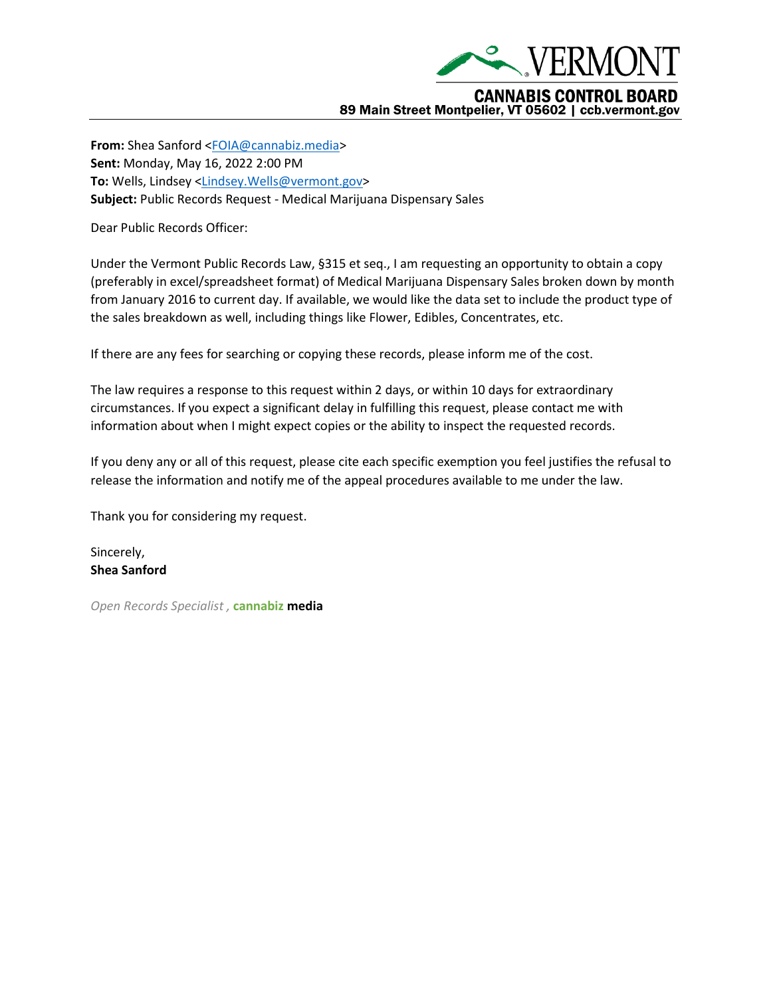

**From:** Shea Sanford [<FOIA@cannabiz.media>](mailto:FOIA@cannabiz.media) **Sent:** Monday, May 16, 2022 2:00 PM **To:** Wells, Lindsey [<Lindsey.Wells@vermont.gov>](mailto:Lindsey.Wells@vermont.gov) **Subject:** Public Records Request - Medical Marijuana Dispensary Sales

Dear Public Records Officer:

Under the Vermont Public Records Law, §315 et seq., I am requesting an opportunity to obtain a copy (preferably in excel/spreadsheet format) of Medical Marijuana Dispensary Sales broken down by month from January 2016 to current day. If available, we would like the data set to include the product type of the sales breakdown as well, including things like Flower, Edibles, Concentrates, etc.

If there are any fees for searching or copying these records, please inform me of the cost.

The law requires a response to this request within 2 days, or within 10 days for extraordinary circumstances. If you expect a significant delay in fulfilling this request, please contact me with information about when I might expect copies or the ability to inspect the requested records.

If you deny any or all of this request, please cite each specific exemption you feel justifies the refusal to release the information and notify me of the appeal procedures available to me under the law.

Thank you for considering my request.

Sincerely, **Shea Sanford**

*Open Records Specialist ,* **cannabiz media**